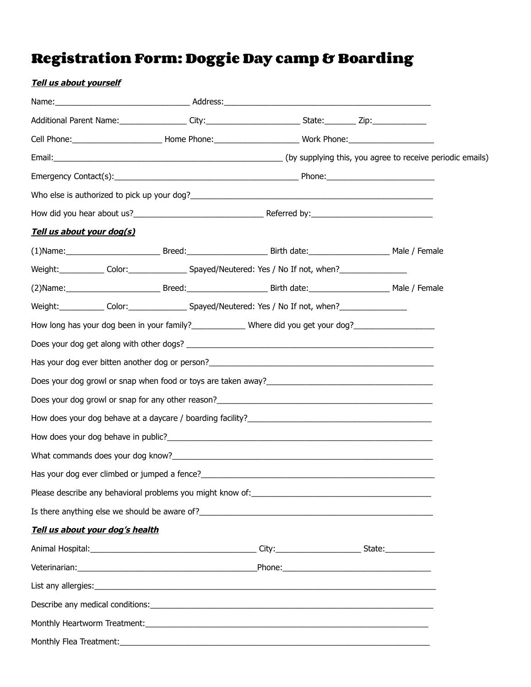## **Registration Form: Doggie Day camp & Boarding**

| <b>Tell us about yourself</b> |                                     |                                                                                                                                                                                                                                      |  |
|-------------------------------|-------------------------------------|--------------------------------------------------------------------------------------------------------------------------------------------------------------------------------------------------------------------------------------|--|
|                               |                                     |                                                                                                                                                                                                                                      |  |
|                               |                                     | Additional Parent Name: __________________City:__________________________State:__________Zip:________________                                                                                                                        |  |
|                               |                                     | Cell Phone: ________________________________Home Phone: ________________________Work Phone: __________________                                                                                                                       |  |
|                               |                                     |                                                                                                                                                                                                                                      |  |
|                               |                                     |                                                                                                                                                                                                                                      |  |
|                               |                                     |                                                                                                                                                                                                                                      |  |
|                               |                                     |                                                                                                                                                                                                                                      |  |
|                               | <u>Tell us about your dog(s)</u>    |                                                                                                                                                                                                                                      |  |
|                               |                                     | (1)Name: Male / Female Breed: Breed: Breed: Birth date: Male / Female                                                                                                                                                                |  |
|                               |                                     | Weight:______________ Color:_______________________Spayed/Neutered: Yes / No If not, when?____________________                                                                                                                       |  |
|                               |                                     | (2) Name: Male / Female Breed: Breed: Breed: Birth date: Male / Female                                                                                                                                                               |  |
|                               |                                     | Weight:______________ Color:_______________________Spayed/Neutered: Yes / No If not, when?____________________                                                                                                                       |  |
|                               |                                     | How long has your dog been in your family?_______________Where did you get your dog?_________________________                                                                                                                        |  |
|                               |                                     |                                                                                                                                                                                                                                      |  |
|                               |                                     |                                                                                                                                                                                                                                      |  |
|                               |                                     |                                                                                                                                                                                                                                      |  |
|                               |                                     | Does your dog growl or snap for any other reason?<br><u>Does your dog growl or snap for any other reason?</u>                                                                                                                        |  |
|                               |                                     |                                                                                                                                                                                                                                      |  |
|                               |                                     |                                                                                                                                                                                                                                      |  |
|                               | What commands does your dog know?__ |                                                                                                                                                                                                                                      |  |
|                               |                                     |                                                                                                                                                                                                                                      |  |
|                               |                                     |                                                                                                                                                                                                                                      |  |
|                               |                                     |                                                                                                                                                                                                                                      |  |
|                               | Tell us about your dog's health     |                                                                                                                                                                                                                                      |  |
|                               |                                     |                                                                                                                                                                                                                                      |  |
|                               |                                     | Veterinarian: <u>contract and contract and contract and contract and contract and contract and contract and contract and contract and contract and contract and contract and contract and contract and contract and contract and</u> |  |
|                               |                                     | List any allergies: Later and the contract of the contract of the contract of the contract of the contract of                                                                                                                        |  |
|                               |                                     |                                                                                                                                                                                                                                      |  |
|                               |                                     |                                                                                                                                                                                                                                      |  |
| Monthly Flea Treatment:       |                                     |                                                                                                                                                                                                                                      |  |